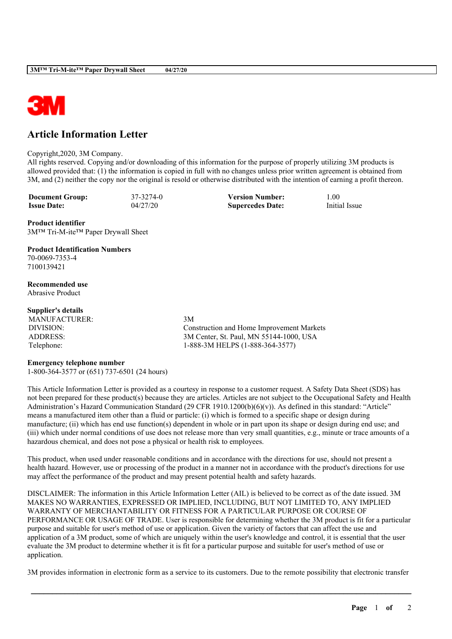

# **Article Information Letter**

#### Copyright,2020, 3M Company.

All rights reserved. Copying and/or downloading of this information for the purpose of properly utilizing 3M products is allowed provided that: (1) the information is copied in full with no changes unless prior written agreement is obtained from 3M, and (2) neither the copy nor the original is resold or otherwise distributed with the intention of earning a profit thereon.

**Document Group:** 37-3274-0 **Version Number:** 1.00<br> **Issue Date:** 04/27/20 **Supercedes Date:** Initial Issue **Issue Date:** 04/27/20 **Supercedes Date:** 

**Product identifier** 3M™ Tri-M-ite™ Paper Drywall Sheet

# **Product Identification Numbers**

70-0069-7353-4 7100139421

#### **Recommended use** Abrasive Product

### **Supplier's details**

MANUFACTURER: 3M

DIVISION: Construction and Home Improvement Markets ADDRESS: 3M Center, St. Paul, MN 55144-1000, USA Telephone: 1-888-3M HELPS (1-888-364-3577)

### **Emergency telephone number**

1-800-364-3577 or (651) 737-6501 (24 hours)

This Article Information Letter is provided as a courtesy in response to a customer request. A Safety Data Sheet (SDS) has not been prepared for these product(s) because they are articles. Articles are not subject to the Occupational Safety and Health Administration's Hazard Communication Standard (29 CFR 1910.1200(b)(6)(v)). As defined in this standard: "Article" means a manufactured item other than a fluid or particle: (i) which is formed to a specific shape or design during manufacture; (ii) which has end use function(s) dependent in whole or in part upon its shape or design during end use; and (iii) which under normal conditions of use does not release more than very small quantities, e.g., minute or trace amounts of a hazardous chemical, and does not pose a physical or health risk to employees.

This product, when used under reasonable conditions and in accordance with the directions for use, should not present a health hazard. However, use or processing of the product in a manner not in accordance with the product's directions for use may affect the performance of the product and may present potential health and safety hazards.

DISCLAIMER: The information in this Article Information Letter (AIL) is believed to be correct as of the date issued. 3M MAKES NO WARRANTIES, EXPRESSED OR IMPLIED, INCLUDING, BUT NOT LIMITED TO, ANY IMPLIED WARRANTY OF MERCHANTABILITY OR FITNESS FOR A PARTICULAR PURPOSE OR COURSE OF PERFORMANCE OR USAGE OF TRADE. User is responsible for determining whether the 3M product is fit for a particular purpose and suitable for user's method of use or application. Given the variety of factors that can affect the use and application of a 3M product, some of which are uniquely within the user's knowledge and control, it is essential that the user evaluate the 3M product to determine whether it is fit for a particular purpose and suitable for user's method of use or application.

3M provides information in electronic form as a service to its customers. Due to the remote possibility that electronic transfer

\_\_\_\_\_\_\_\_\_\_\_\_\_\_\_\_\_\_\_\_\_\_\_\_\_\_\_\_\_\_\_\_\_\_\_\_\_\_\_\_\_\_\_\_\_\_\_\_\_\_\_\_\_\_\_\_\_\_\_\_\_\_\_\_\_\_\_\_\_\_\_\_\_\_\_\_\_\_\_\_\_\_\_\_\_\_\_\_\_\_